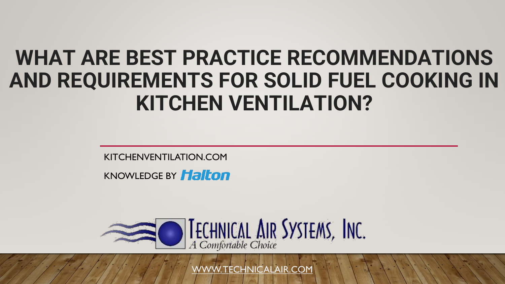# **WHAT ARE BEST PRACTICE RECOMMENDATIONS AND REQUIREMENTS FOR SOLID FUEL COOKING IN KITCHEN VENTILATION?**

KITCHENVENTILATION.COM

KNOWLEDGE BY **Halton** 



[WWW. TECHNICALAIR.COM](http://www.technicalair.com/)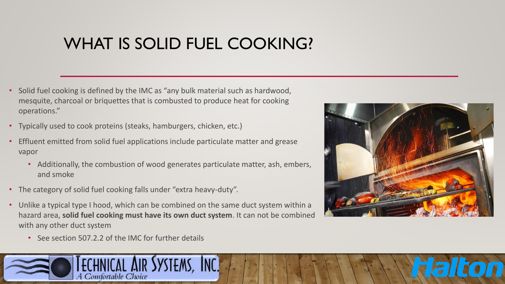# WHAT IS SOLID FUEL COOKING?

- Solid fuel cooking is defined by the IMC as "any bulk material such as hardwood, mesquite, charcoal or briquettes that is combusted to produce heat for cooking operations."
- Typically used to cook proteins (steaks, hamburgers, chicken, etc.)
- Effluent emitted from solid fuel applications include particulate matter and grease vapor
	- Additionally, the combustion of wood generates particulate matter, ash, embers, and smoke
- The category of solid fuel cooking falls under "extra heavy-duty".
- Unlike a typical type I hood, which can be combined on the same duct system within a hazard area, **solid fuel cooking must have its own duct system**. It can not be combined with any other duct system
	- See section 507.2.2 of the IMC for further details



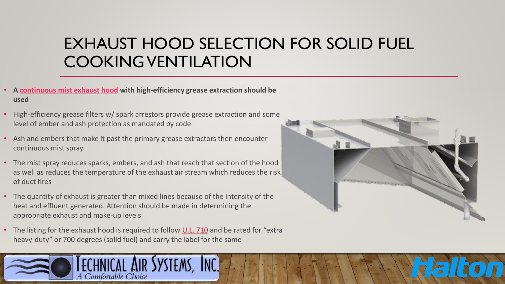# EXHAUST HOOD SELECTION FOR SOLID FUEL COOKING VENTILATION

- **A [continuous mist exhaust hood](https://www.halton.com/products/kve-cm-capture-jet-continuous-mist-exhaust-hood-na-en/) with high-efficiency grease extraction should be used**
- High-efficiency grease filters w/ spark arrestors provide grease extraction and some level of ember and ash protection as mandated by code
- Ash and embers that make it past the primary grease extractors then encounter continuous mist spray.
- The mist spray reduces sparks, embers, and ash that reach that section of the hood as well as reduces the temperature of the exhaust air stream which reduces the risk of duct fires
- The quantity of exhaust is greater than mixed lines because of the intensity of the heat and effluent generated. Attention should be made in determining the appropriate exhaust and make-up levels
- The listing for the exhaust hood is required to follow [U.L. 710](https://standardscatalog.ul.com/ProductDetail.aspx?productId=UL710) and be rated for "extra heavy-duty" or 700 degrees (solid fuel) and carry the label for the same



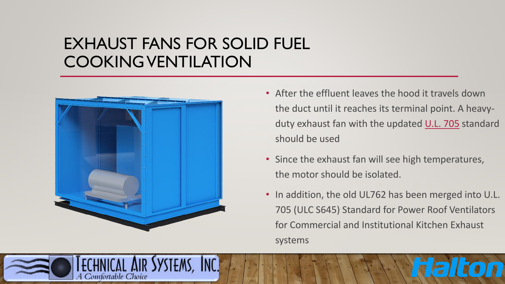### EXHAUST FANS FOR SOLID FUEL COOKING VENTILATION



A Comfortable Choice

- After the effluent leaves the hood it travels down the duct until it reaches its terminal point. A heavy-duty exhaust fan with the updated [U.L. 705](https://standardscatalog.ul.com/ProductDetail.aspx?productId=UL705) standard should be used
- Since the exhaust fan will see high temperatures, the motor should be isolated.
- In addition, the old UL762 has been merged into U.L. 705 (ULC S645) Standard for Power Roof Ventilators for Commercial and Institutional Kitchen Exhaust systems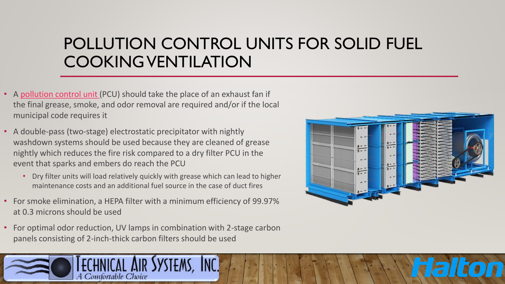# POLLUTION CONTROL UNITS FOR SOLID FUEL COOKING VENTILATION

- A [pollution control unit](http://www.technicalair.com/halton-pcu) (PCU) should take the place of an exhaust fan if the final grease, smoke, and odor removal are required and/or if the local municipal code requires it
- A double-pass (two-stage) electrostatic precipitator with nightly washdown systems should be used because they are cleaned of grease nightly which reduces the fire risk compared to a dry filter PCU in the event that sparks and embers do reach the PCU
	- Dry filter units will load relatively quickly with grease which can lead to higher maintenance costs and an additional fuel source in the case of duct fires
- For smoke elimination, a HEPA filter with a minimum efficiency of 99.97% at 0.3 microns should be used
- For optimal odor reduction, UV lamps in combination with 2-stage carbon panels consisting of 2-inch-thick carbon filters should be used



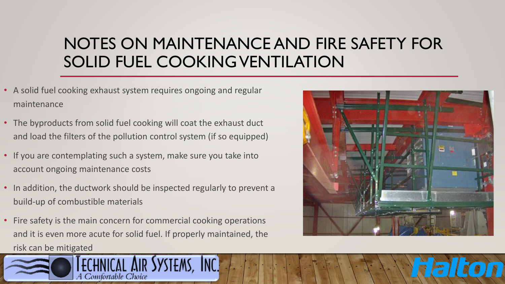# NOTES ON MAINTENANCE AND FIRE SAFETY FOR SOLID FUEL COOKING VENTILATION

- A solid fuel cooking exhaust system requires ongoing and regular maintenance
- The byproducts from solid fuel cooking will coat the exhaust duct and load the filters of the pollution control system (if so equipped)
- If you are contemplating such a system, make sure you take into account ongoing maintenance costs
- In addition, the ductwork should be inspected regularly to prevent a build-up of combustible materials
- Fire safety is the main concern for commercial cooking operations and it is even more acute for solid fuel. If properly maintained, the [risk can be mitigated](http://www.technicalair.com/)